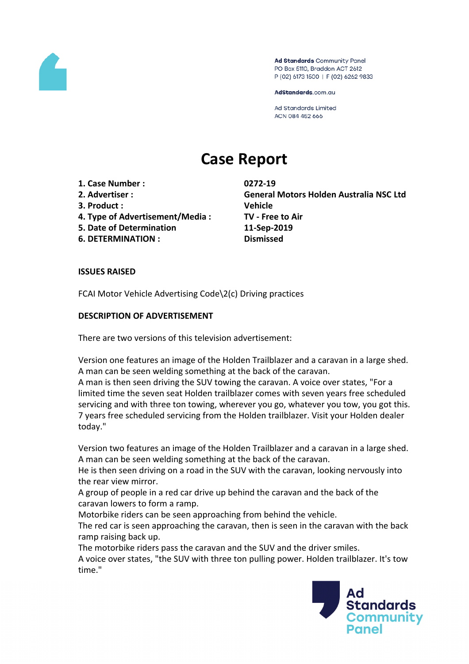

Ad Standards Community Panel PO Box 5110, Braddon ACT 2612 P (02) 6173 1500 | F (02) 6262 9833

AdStandards.com.au

**Ad Standards Limited** ACN 084 452 666

# **Case Report**

- **1. Case Number : 0272-19**
- 
- **3. Product : Vehicle**
- **4. Type of Advertisement/Media : TV - Free to Air**
- **5. Date of Determination 11-Sep-2019**
- **6. DETERMINATION : Dismissed**

**2. Advertiser : General Motors Holden Australia NSC Ltd**

# **ISSUES RAISED**

FCAI Motor Vehicle Advertising Code\2(c) Driving practices

# **DESCRIPTION OF ADVERTISEMENT**

There are two versions of this television advertisement:

Version one features an image of the Holden Trailblazer and a caravan in a large shed. A man can be seen welding something at the back of the caravan.

A man is then seen driving the SUV towing the caravan. A voice over states, "For a limited time the seven seat Holden trailblazer comes with seven years free scheduled servicing and with three ton towing, wherever you go, whatever you tow, you got this. 7 years free scheduled servicing from the Holden trailblazer. Visit your Holden dealer today."

Version two features an image of the Holden Trailblazer and a caravan in a large shed. A man can be seen welding something at the back of the caravan.

He is then seen driving on a road in the SUV with the caravan, looking nervously into the rear view mirror.

A group of people in a red car drive up behind the caravan and the back of the caravan lowers to form a ramp.

Motorbike riders can be seen approaching from behind the vehicle.

The red car is seen approaching the caravan, then is seen in the caravan with the back ramp raising back up.

The motorbike riders pass the caravan and the SUV and the driver smiles. A voice over states, "the SUV with three ton pulling power. Holden trailblazer. It's tow time."

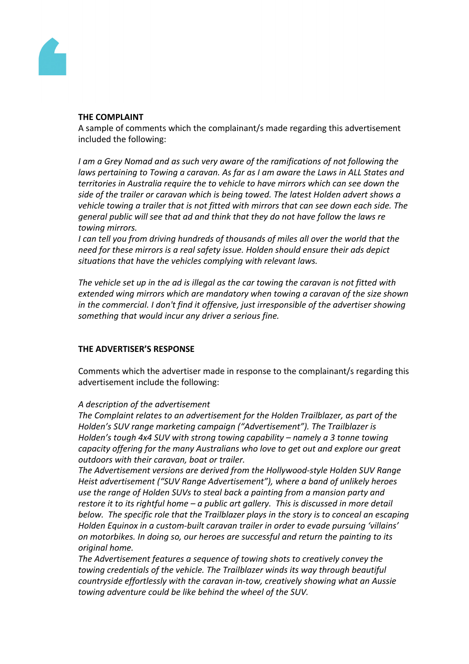

#### **THE COMPLAINT**

A sample of comments which the complainant/s made regarding this advertisement included the following:

*I am a Grey Nomad and as such very aware of the ramifications of not following the laws pertaining to Towing a caravan. As far as I am aware the Laws in ALL States and territories in Australia require the to vehicle to have mirrors which can see down the side of the trailer or caravan which is being towed. The latest Holden advert shows a vehicle towing a trailer that is not fitted with mirrors that can see down each side. The general public will see that ad and think that they do not have follow the laws re towing mirrors.*

*I can tell you from driving hundreds of thousands of miles all over the world that the need for these mirrors is a real safety issue. Holden should ensure their ads depict situations that have the vehicles complying with relevant laws.*

*The vehicle set up in the ad is illegal as the car towing the caravan is not fitted with extended wing mirrors which are mandatory when towing a caravan of the size shown in the commercial. I don't find it offensive, just irresponsible of the advertiser showing something that would incur any driver a serious fine.*

## **THE ADVERTISER'S RESPONSE**

Comments which the advertiser made in response to the complainant/s regarding this advertisement include the following:

## *A description of the advertisement*

*The Complaint relates to an advertisement for the Holden Trailblazer, as part of the Holden's SUV range marketing campaign ("Advertisement"). The Trailblazer is Holden's tough 4x4 SUV with strong towing capability – namely a 3 tonne towing capacity offering for the many Australians who love to get out and explore our great outdoors with their caravan, boat or trailer.*

*The Advertisement versions are derived from the Hollywood-style Holden SUV Range Heist advertisement ("SUV Range Advertisement"), where a band of unlikely heroes use the range of Holden SUVs to steal back a painting from a mansion party and restore it to its rightful home – a public art gallery. This is discussed in more detail below. The specific role that the Trailblazer plays in the story is to conceal an escaping Holden Equinox in a custom-built caravan trailer in order to evade pursuing 'villains' on motorbikes. In doing so, our heroes are successful and return the painting to its original home.*

*The Advertisement features a sequence of towing shots to creatively convey the towing credentials of the vehicle. The Trailblazer winds its way through beautiful countryside effortlessly with the caravan in-tow, creatively showing what an Aussie towing adventure could be like behind the wheel of the SUV.*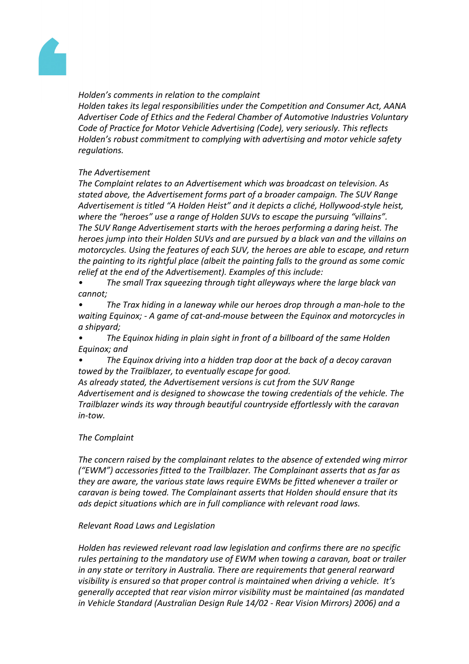

## *Holden's comments in relation to the complaint*

*Holden takes its legal responsibilities under the Competition and Consumer Act, AANA Advertiser Code of Ethics and the Federal Chamber of Automotive Industries Voluntary Code of Practice for Motor Vehicle Advertising (Code), very seriously. This reflects Holden's robust commitment to complying with advertising and motor vehicle safety regulations.*

# *The Advertisement*

*The Complaint relates to an Advertisement which was broadcast on television. As stated above, the Advertisement forms part of a broader campaign. The SUV Range Advertisement is titled "A Holden Heist" and it depicts a cliché, Hollywood-style heist, where the "heroes" use a range of Holden SUVs to escape the pursuing "villains". The SUV Range Advertisement starts with the heroes performing a daring heist. The heroes jump into their Holden SUVs and are pursued by a black van and the villains on motorcycles. Using the features of each SUV, the heroes are able to escape, and return the painting to its rightful place (albeit the painting falls to the ground as some comic relief at the end of the Advertisement). Examples of this include:*

*• The small Trax squeezing through tight alleyways where the large black van cannot;*

*• The Trax hiding in a laneway while our heroes drop through a man-hole to the waiting Equinox; - A game of cat-and-mouse between the Equinox and motorcycles in a shipyard;*

*• The Equinox hiding in plain sight in front of a billboard of the same Holden Equinox; and*

*• The Equinox driving into a hidden trap door at the back of a decoy caravan towed by the Trailblazer, to eventually escape for good.*

*As already stated, the Advertisement versions is cut from the SUV Range Advertisement and is designed to showcase the towing credentials of the vehicle. The Trailblazer winds its way through beautiful countryside effortlessly with the caravan in-tow.*

## *The Complaint*

*The concern raised by the complainant relates to the absence of extended wing mirror ("EWM") accessories fitted to the Trailblazer. The Complainant asserts that as far as they are aware, the various state laws require EWMs be fitted whenever a trailer or caravan is being towed. The Complainant asserts that Holden should ensure that its ads depict situations which are in full compliance with relevant road laws.*

## *Relevant Road Laws and Legislation*

*Holden has reviewed relevant road law legislation and confirms there are no specific rules pertaining to the mandatory use of EWM when towing a caravan, boat or trailer in any state or territory in Australia. There are requirements that general rearward visibility is ensured so that proper control is maintained when driving a vehicle. It's generally accepted that rear vision mirror visibility must be maintained (as mandated in Vehicle Standard (Australian Design Rule 14/02 - Rear Vision Mirrors) 2006) and a*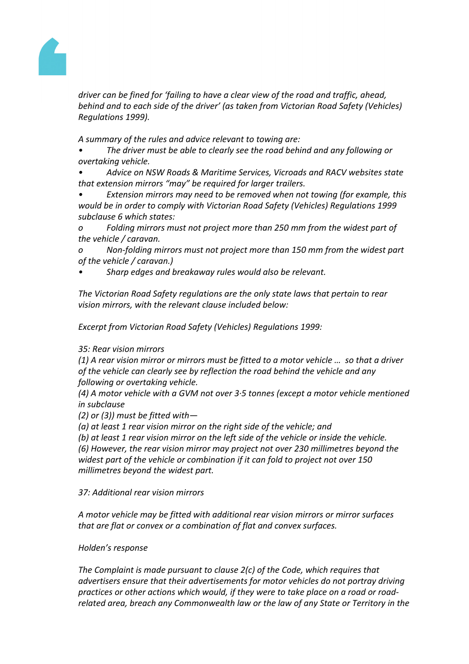

*driver can be fined for 'failing to have a clear view of the road and traffic, ahead, behind and to each side of the driver' (as taken from Victorian Road Safety (Vehicles) Regulations 1999).*

*A summary of the rules and advice relevant to towing are:*

*• The driver must be able to clearly see the road behind and any following or overtaking vehicle.*

*• Advice on NSW Roads & Maritime Services, Vicroads and RACV websites state that extension mirrors "may" be required for larger trailers.*

*• Extension mirrors may need to be removed when not towing (for example, this would be in order to comply with Victorian Road Safety (Vehicles) Regulations 1999 subclause 6 which states:*

*o Folding mirrors must not project more than 250 mm from the widest part of the vehicle / caravan.*

*o Non-folding mirrors must not project more than 150 mm from the widest part of the vehicle / caravan.)*

*• Sharp edges and breakaway rules would also be relevant.*

*The Victorian Road Safety regulations are the only state laws that pertain to rear vision mirrors, with the relevant clause included below:*

*Excerpt from Victorian Road Safety (Vehicles) Regulations 1999:*

## *35: Rear vision mirrors*

*(1) A rear vision mirror or mirrors must be fitted to a motor vehicle … so that a driver of the vehicle can clearly see by reflection the road behind the vehicle and any following or overtaking vehicle.*

*(4) A motor vehicle with a GVM not over 3·5 tonnes (except a motor vehicle mentioned in subclause*

*(2) or (3)) must be fitted with—*

*(a) at least 1 rear vision mirror on the right side of the vehicle; and*

*(b) at least 1 rear vision mirror on the left side of the vehicle or inside the vehicle. (6) However, the rear vision mirror may project not over 230 millimetres beyond the*

*widest part of the vehicle or combination if it can fold to project not over 150 millimetres beyond the widest part.*

## *37: Additional rear vision mirrors*

*A motor vehicle may be fitted with additional rear vision mirrors or mirror surfaces that are flat or convex or a combination of flat and convex surfaces.*

## *Holden's response*

*The Complaint is made pursuant to clause 2(c) of the Code, which requires that advertisers ensure that their advertisements for motor vehicles do not portray driving practices or other actions which would, if they were to take place on a road or roadrelated area, breach any Commonwealth law or the law of any State or Territory in the*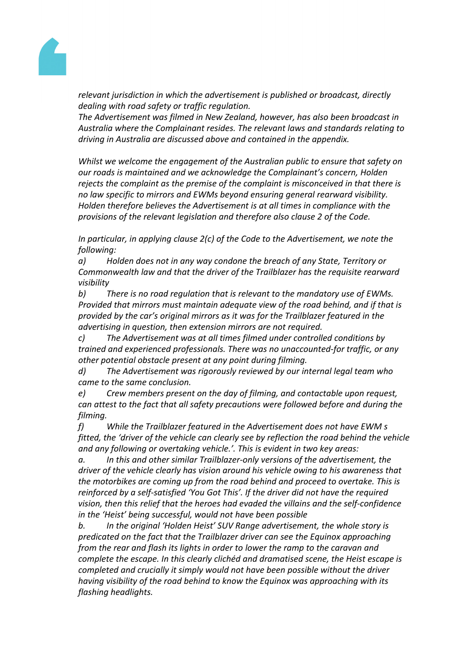

*relevant jurisdiction in which the advertisement is published or broadcast, directly dealing with road safety or traffic regulation.*

*The Advertisement was filmed in New Zealand, however, has also been broadcast in Australia where the Complainant resides. The relevant laws and standards relating to driving in Australia are discussed above and contained in the appendix.*

*Whilst we welcome the engagement of the Australian public to ensure that safety on our roads is maintained and we acknowledge the Complainant's concern, Holden rejects the complaint as the premise of the complaint is misconceived in that there is no law specific to mirrors and EWMs beyond ensuring general rearward visibility. Holden therefore believes the Advertisement is at all times in compliance with the provisions of the relevant legislation and therefore also clause 2 of the Code.*

*In particular, in applying clause 2(c) of the Code to the Advertisement, we note the following:*

*a) Holden does not in any way condone the breach of any State, Territory or Commonwealth law and that the driver of the Trailblazer has the requisite rearward visibility*

*b) There is no road regulation that is relevant to the mandatory use of EWMs. Provided that mirrors must maintain adequate view of the road behind, and if that is provided by the car's original mirrors as it was for the Trailblazer featured in the advertising in question, then extension mirrors are not required.*

*c) The Advertisement was at all times filmed under controlled conditions by trained and experienced professionals. There was no unaccounted-for traffic, or any other potential obstacle present at any point during filming.*

*d) The Advertisement was rigorously reviewed by our internal legal team who came to the same conclusion.*

*e) Crew members present on the day of filming, and contactable upon request, can attest to the fact that all safety precautions were followed before and during the filming.*

*f) While the Trailblazer featured in the Advertisement does not have EWM s fitted, the 'driver of the vehicle can clearly see by reflection the road behind the vehicle and any following or overtaking vehicle.'. This is evident in two key areas:*

*a. In this and other similar Trailblazer-only versions of the advertisement, the driver of the vehicle clearly has vision around his vehicle owing to his awareness that the motorbikes are coming up from the road behind and proceed to overtake. This is reinforced by a self-satisfied 'You Got This'. If the driver did not have the required vision, then this relief that the heroes had evaded the villains and the self-confidence in the 'Heist' being successful, would not have been possible*

*b. In the original 'Holden Heist' SUV Range advertisement, the whole story is predicated on the fact that the Trailblazer driver can see the Equinox approaching from the rear and flash its lights in order to lower the ramp to the caravan and complete the escape. In this clearly clichéd and dramatised scene, the Heist escape is completed and crucially it simply would not have been possible without the driver having visibility of the road behind to know the Equinox was approaching with its flashing headlights.*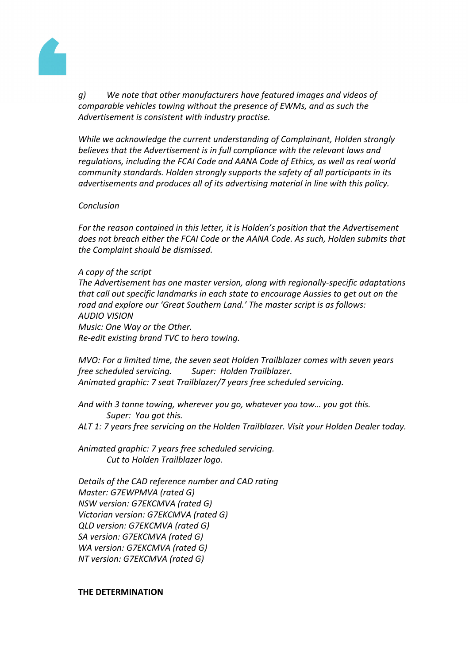

*g) We note that other manufacturers have featured images and videos of comparable vehicles towing without the presence of EWMs, and as such the Advertisement is consistent with industry practise.*

*While we acknowledge the current understanding of Complainant, Holden strongly believes that the Advertisement is in full compliance with the relevant laws and regulations, including the FCAI Code and AANA Code of Ethics, as well as real world community standards. Holden strongly supports the safety of all participants in its advertisements and produces all of its advertising material in line with this policy.*

#### *Conclusion*

*For the reason contained in this letter, it is Holden's position that the Advertisement does not breach either the FCAI Code or the AANA Code. As such, Holden submits that the Complaint should be dismissed.*

#### *A copy of the script*

*The Advertisement has one master version, along with regionally-specific adaptations that call out specific landmarks in each state to encourage Aussies to get out on the road and explore our 'Great Southern Land.' The master script is as follows: AUDIO VISION Music: One Way or the Other. Re-edit existing brand TVC to hero towing.*

*MVO: For a limited time, the seven seat Holden Trailblazer comes with seven years free scheduled servicing. Super: Holden Trailblazer. Animated graphic: 7 seat Trailblazer/7 years free scheduled servicing.*

*And with 3 tonne towing, wherever you go, whatever you tow… you got this. Super: You got this. ALT 1: 7 years free servicing on the Holden Trailblazer. Visit your Holden Dealer today.*

*Animated graphic: 7 years free scheduled servicing. Cut to Holden Trailblazer logo.*

*Details of the CAD reference number and CAD rating Master: G7EWPMVA (rated G) NSW version: G7EKCMVA (rated G) Victorian version: G7EKCMVA (rated G) QLD version: G7EKCMVA (rated G) SA version: G7EKCMVA (rated G) WA version: G7EKCMVA (rated G) NT version: G7EKCMVA (rated G)*

## **THE DETERMINATION**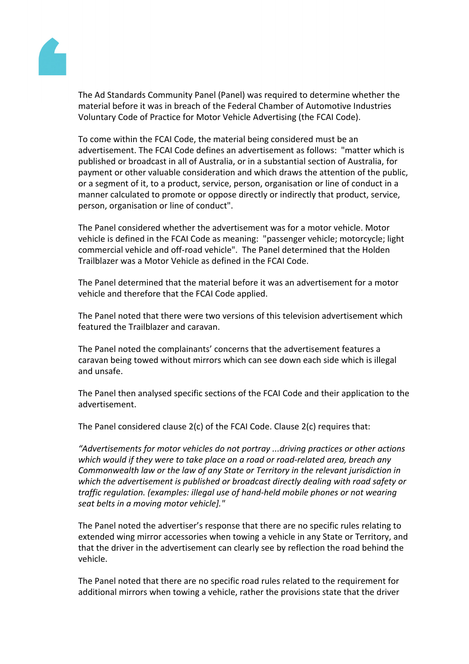

The Ad Standards Community Panel (Panel) was required to determine whether the material before it was in breach of the Federal Chamber of Automotive Industries Voluntary Code of Practice for Motor Vehicle Advertising (the FCAI Code).

To come within the FCAI Code, the material being considered must be an advertisement. The FCAI Code defines an advertisement as follows: "matter which is published or broadcast in all of Australia, or in a substantial section of Australia, for payment or other valuable consideration and which draws the attention of the public, or a segment of it, to a product, service, person, organisation or line of conduct in a manner calculated to promote or oppose directly or indirectly that product, service, person, organisation or line of conduct".

The Panel considered whether the advertisement was for a motor vehicle. Motor vehicle is defined in the FCAI Code as meaning: "passenger vehicle; motorcycle; light commercial vehicle and off-road vehicle". The Panel determined that the Holden Trailblazer was a Motor Vehicle as defined in the FCAI Code.

The Panel determined that the material before it was an advertisement for a motor vehicle and therefore that the FCAI Code applied.

The Panel noted that there were two versions of this television advertisement which featured the Trailblazer and caravan.

The Panel noted the complainants' concerns that the advertisement features a caravan being towed without mirrors which can see down each side which is illegal and unsafe.

The Panel then analysed specific sections of the FCAI Code and their application to the advertisement.

The Panel considered clause 2(c) of the FCAI Code. Clause 2(c) requires that:

*"Advertisements for motor vehicles do not portray ...driving practices or other actions which would if they were to take place on a road or road-related area, breach any Commonwealth law or the law of any State or Territory in the relevant jurisdiction in which the advertisement is published or broadcast directly dealing with road safety or traffic regulation. (examples: illegal use of hand-held mobile phones or not wearing seat belts in a moving motor vehicle]."*

The Panel noted the advertiser's response that there are no specific rules relating to extended wing mirror accessories when towing a vehicle in any State or Territory, and that the driver in the advertisement can clearly see by reflection the road behind the vehicle.

The Panel noted that there are no specific road rules related to the requirement for additional mirrors when towing a vehicle, rather the provisions state that the driver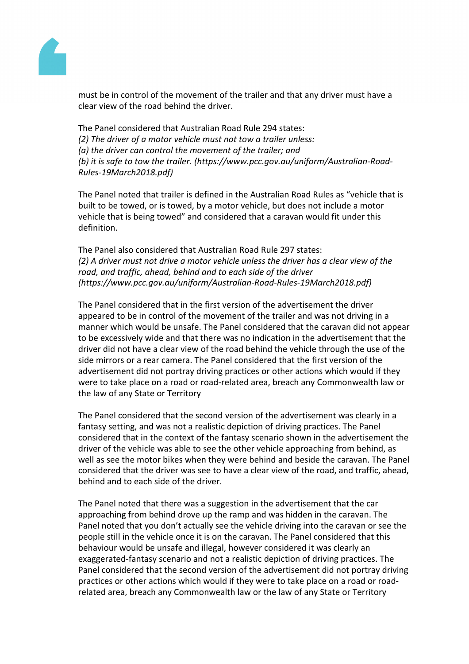

must be in control of the movement of the trailer and that any driver must have a clear view of the road behind the driver.

The Panel considered that Australian Road Rule 294 states: *(2) The driver of a motor vehicle must not tow a trailer unless: (a) the driver can control the movement of the trailer; and (b) it is safe to tow the trailer. (https://www.pcc.gov.au/uniform/Australian-Road-Rules-19March2018.pdf)*

The Panel noted that trailer is defined in the Australian Road Rules as "vehicle that is built to be towed, or is towed, by a motor vehicle, but does not include a motor vehicle that is being towed" and considered that a caravan would fit under this definition.

The Panel also considered that Australian Road Rule 297 states: *(2) A driver must not drive a motor vehicle unless the driver has a clear view of the road, and traffic, ahead, behind and to each side of the driver (https://www.pcc.gov.au/uniform/Australian-Road-Rules-19March2018.pdf)*

The Panel considered that in the first version of the advertisement the driver appeared to be in control of the movement of the trailer and was not driving in a manner which would be unsafe. The Panel considered that the caravan did not appear to be excessively wide and that there was no indication in the advertisement that the driver did not have a clear view of the road behind the vehicle through the use of the side mirrors or a rear camera. The Panel considered that the first version of the advertisement did not portray driving practices or other actions which would if they were to take place on a road or road-related area, breach any Commonwealth law or the law of any State or Territory

The Panel considered that the second version of the advertisement was clearly in a fantasy setting, and was not a realistic depiction of driving practices. The Panel considered that in the context of the fantasy scenario shown in the advertisement the driver of the vehicle was able to see the other vehicle approaching from behind, as well as see the motor bikes when they were behind and beside the caravan. The Panel considered that the driver was see to have a clear view of the road, and traffic, ahead, behind and to each side of the driver.

The Panel noted that there was a suggestion in the advertisement that the car approaching from behind drove up the ramp and was hidden in the caravan. The Panel noted that you don't actually see the vehicle driving into the caravan or see the people still in the vehicle once it is on the caravan. The Panel considered that this behaviour would be unsafe and illegal, however considered it was clearly an exaggerated-fantasy scenario and not a realistic depiction of driving practices. The Panel considered that the second version of the advertisement did not portray driving practices or other actions which would if they were to take place on a road or roadrelated area, breach any Commonwealth law or the law of any State or Territory